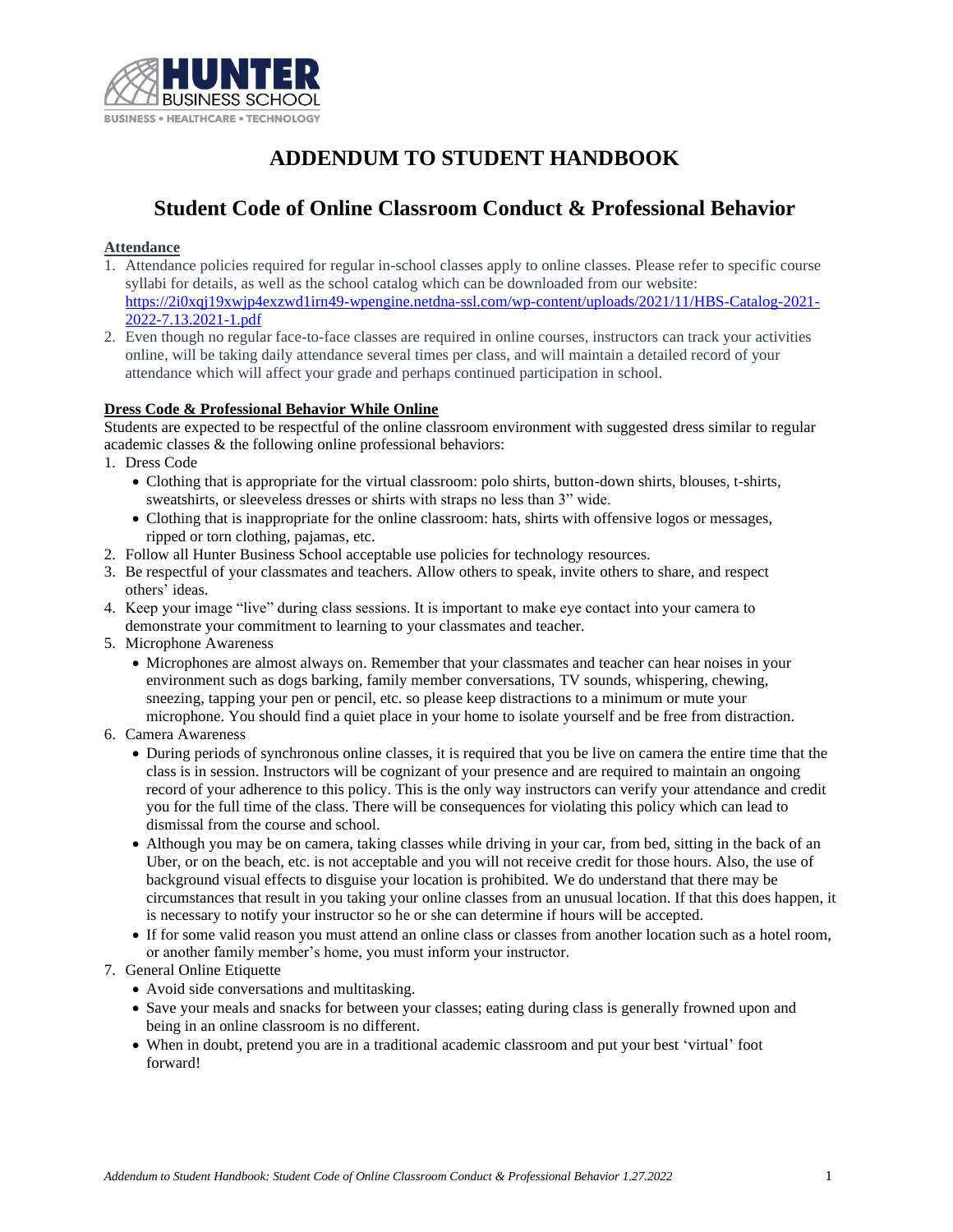

# **ADDENDUM TO STUDENT HANDBOOK**

# **Student Code of Online Classroom Conduct & Professional Behavior**

### **Attendance**

- 1. Attendance policies required for regular in-school classes apply to online classes. Please refer to specific course syllabi for details, as well as the school catalog which can be downloaded from our website: [https://2i0xqj19xwjp4exzwd1irn49-wpengine.netdna-ssl.com/wp-content/uploads/2021/11/HBS-Catalog-2021-](https://2i0xqj19xwjp4exzwd1irn49-wpengine.netdna-ssl.com/wp-content/uploads/2021/11/HBS-Catalog-2021-2022-7.13.2021-1.pdf) [2022-7.13.2021-1.pdf](https://2i0xqj19xwjp4exzwd1irn49-wpengine.netdna-ssl.com/wp-content/uploads/2021/11/HBS-Catalog-2021-2022-7.13.2021-1.pdf)
- 2. Even though no regular face-to-face classes are required in online courses, instructors can track your activities online, will be taking daily attendance several times per class, and will maintain a detailed record of your attendance which will affect your grade and perhaps continued participation in school.

#### **Dress Code & Professional Behavior While Online**

Students are expected to be respectful of the online classroom environment with suggested dress similar to regular academic classes & the following online professional behaviors:

- 1. Dress Code
	- Clothing that is appropriate for the virtual classroom: polo shirts, button-down shirts, blouses, t-shirts, sweatshirts, or sleeveless dresses or shirts with straps no less than 3" wide.
	- Clothing that is inappropriate for the online classroom: hats, shirts with offensive logos or messages, ripped or torn clothing, pajamas, etc.
- 2. Follow all Hunter Business School acceptable use policies for technology resources.
- 3. Be respectful of your classmates and teachers. Allow others to speak, invite others to share, and respect others' ideas.
- 4. Keep your image "live" during class sessions. It is important to make eye contact into your camera to demonstrate your commitment to learning to your classmates and teacher.
- 5. Microphone Awareness
	- Microphones are almost always on. Remember that your classmates and teacher can hear noises in your environment such as dogs barking, family member conversations, TV sounds, whispering, chewing, sneezing, tapping your pen or pencil, etc. so please keep distractions to a minimum or mute your microphone. You should find a quiet place in your home to isolate yourself and be free from distraction.
- 6. Camera Awareness
	- During periods of synchronous online classes, it is required that you be live on camera the entire time that the class is in session. Instructors will be cognizant of your presence and are required to maintain an ongoing record of your adherence to this policy. This is the only way instructors can verify your attendance and credit you for the full time of the class. There will be consequences for violating this policy which can lead to dismissal from the course and school.
	- Although you may be on camera, taking classes while driving in your car, from bed, sitting in the back of an Uber, or on the beach, etc. is not acceptable and you will not receive credit for those hours. Also, the use of background visual effects to disguise your location is prohibited. We do understand that there may be circumstances that result in you taking your online classes from an unusual location. If that this does happen, it is necessary to notify your instructor so he or she can determine if hours will be accepted.
	- If for some valid reason you must attend an online class or classes from another location such as a hotel room, or another family member's home, you must inform your instructor.
- 7. General Online Etiquette
	- Avoid side conversations and multitasking.
	- Save your meals and snacks for between your classes; eating during class is generally frowned upon and being in an online classroom is no different.
	- When in doubt, pretend you are in a traditional academic classroom and put your best 'virtual' foot forward!